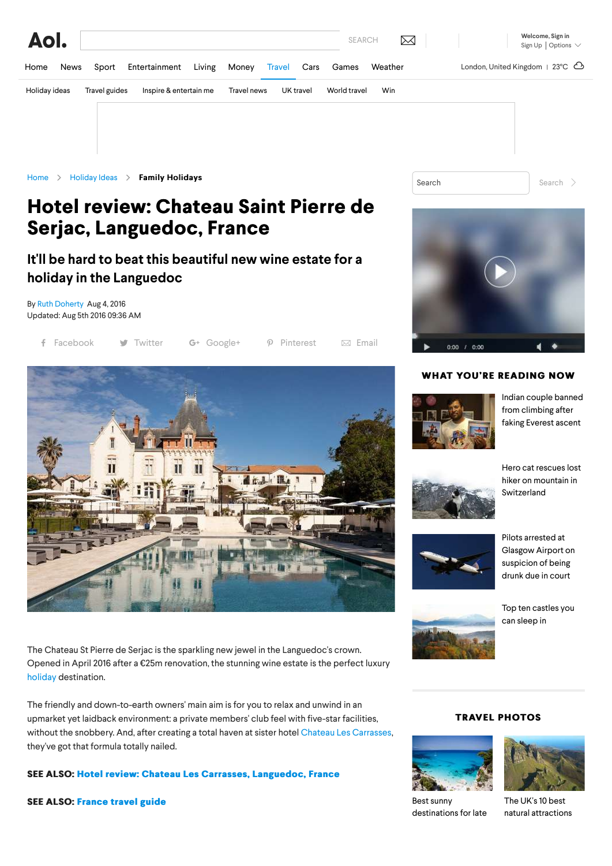

# **Hotel review: Chateau Saint Pierre de Hotel review: Chateau Saint Pierre Serjac, Languedoc, France Serjac, Languedoc,**

## **It'll be hard to beat this beautiful new wine estate for a holiday in the Languedoc**

By [Ruth Doherty](http://travel.aol.co.uk/editors/ruth-doherty/) Aug 4, 2016 Updated: Aug 5th 2016 09:36 AM

|  | f Facebook |  | <b>W</b> Twitter |  | $G+$ Google+ |  | $\mathcal{P}$ Pinterest |  | $\boxtimes$ Email |
|--|------------|--|------------------|--|--------------|--|-------------------------|--|-------------------|
|--|------------|--|------------------|--|--------------|--|-------------------------|--|-------------------|



The Chateau St Pierre de Serjac is the sparkling new jewel in the Languedoc's crown. Opened in April 2016 after a €25m renovation, the stunning wine estate is the perfect luxury [holiday](http://travel.aol.co.uk/holiday-ideas/?icid=nav-travel) destination.

The friendly and down-to-earth owners' main aim is for you to relax and unwind in an upmarket yet laidback environment: a private members' club feel with five-star facilities, without the snobbery. And, after creating a total haven at sister hotel [Chateau Les Carrasses,](http://travel.aol.co.uk/2015/07/27/hotel-review-chateau-les-carrasses-languedoc-france/) they've got that formula totally nailed.

### **SEE ALSO: Hotel review: Chateau Les Carrasses, Languedoc, France**

**SEE ALSO:SEE ALSO: [France travel guide](http://travel.aol.co.uk/guides/france/) France guide**



### **WHAT YOU'RE READING NOW**



[Indian couple banned](http://travel.aol.co.uk/2016/08/31/indian-couple-banned-climbing-10-years-faking-everest-ascent/) from climbing after faking Everest ascent



[Hero cat rescues lost](http://travel.aol.co.uk/2016/08/31/hero-cat-rescues-lost-hiker-mountain-switzerland/) hiker on mountain in Switzerland



Pilots arrested at [Glasgow Airport on](http://travel.aol.co.uk/2016/08/30/pilots-arrested-glasgow-airport-suspicion-drunk-due-court/) suspicion of being drunk due in court



[Top ten castles you](http://travel.aol.co.uk/2015/09/07/best-castle-hotels-europe-tripadvisor/) can sleep in







Best sunny [destinations for late](http://travel.aol.co.uk/2016/08/26/wheres-hot-sunny-holiday-ideas-september-october/)

The UK's 10 best [natural attractions](http://travel.aol.co.uk/2016/08/24/best-nature-britain-tripadvisor/)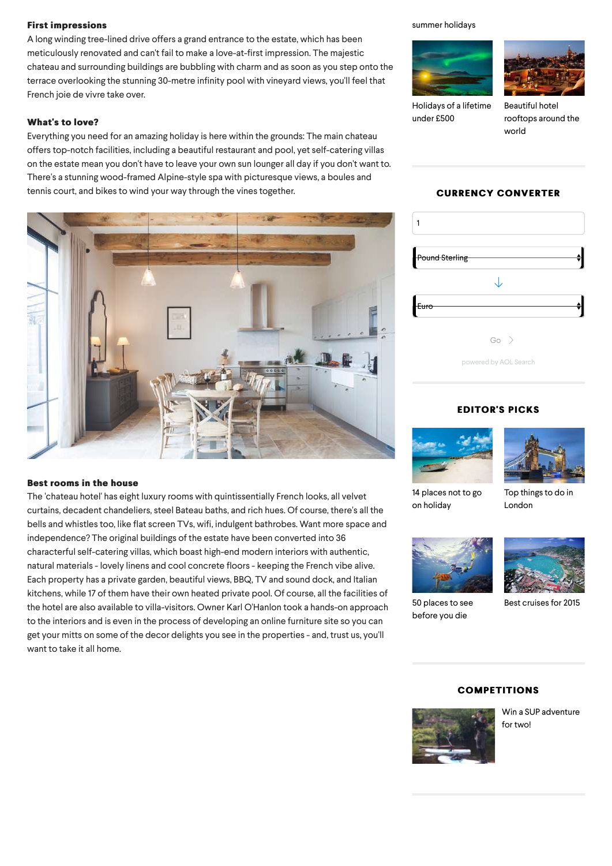### **First impressions First impressions**

A long winding tree-lined drive offers a grand entrance to the estate, which has been meticulously renovated and can't fail to make a love-at-first impression. The majestic chateau and surrounding buildings are bubbling with charm and as soon as you step onto the terrace overlooking the stunning 30-metre infinity pool with vineyard views, you'll feel that French joie de vivre take over.

### **What's to love? What's to love?**

Everything you need for an amazing holiday is here within the grounds: The main chateau offers top-notch facilities, including a beautiful restaurant and pool, yet self-catering villas on the estate mean you don't have to leave your own sun lounger all day if you don't want to. There's a stunning wood-framed Alpine-style spa with picturesque views, a boules and tennis court, and bikes to wind your way through the vines together.



### **Best rooms in the house**

The 'chateau hotel' has eight luxury rooms with quintissentially French looks, all velvet curtains, decadent chandeliers, steel Bateau baths, and rich hues. Of course, there's all the bells and whistles too, like flat screen TVs, wifi, indulgent bathrobes. Want more space and independence? The original buildings of the estate have been converted into 36 characterful self-catering villas, which boast high-end modern interiors with authentic, natural materials - lovely linens and cool concrete floors - keeping the French vibe alive. Each property has a private garden, beautiful views, BBQ, TV and sound dock, and Italian kitchens, while 17 of them have their own heated private pool. Of course, all the facilities of the hotel are also available to villa-visitors. Owner Karl O'Hanlon took a hands-on approach to the interiors and is even in the process of developing an online furniture site so you can get your mitts on some of the decor delights you see in the properties - and, trust us, you'll want to take it all home.

### [summer holidays](http://travel.aol.co.uk/2016/08/26/wheres-hot-sunny-holiday-ideas-september-october/)



[Holidays of a lifetime](http://travel.aol.co.uk/2016/08/18/holidays-of-a-lifetime-under-500/) under £500



Beautiful hotel [rooftops around the](http://travel.aol.co.uk/2016/08/16/beautiful-hotel-rooftops-around-the-world/) world

### **CURRENCY CONVERTER CURRENCY CONVERTER**

| <b>Pound Sterling</b> |  |
|-----------------------|--|
|                       |  |
| Euro                  |  |
| $Go \rightarrow$      |  |
| powered by AOL Search |  |

### **EDITOR'S PICKS EDITOR'S PICKS**





[14 places not to go](http://travel.aol.co.uk/2015/05/18/holiday-ideas-paradise-beaches-you-wont-want-to-go-home/) on holiday

[Top things to do in](http://travel.aol.co.uk/2015/05/27/things-to-do-in-london/) London



[50 places to see](http://travel.aol.co.uk/2013/01/09/holiday-bucket-list-50-places-to-see-before-you-die-holiday-ideas/) before you die



[Best cruises for 2015](http://travel.aol.co.uk/2014/08/12/cruises-2015-best-deals/)

### **COMPETITIONS COMPETITIONS**



[Win a SUP adventure](http://travel.aol.co.uk/2016/08/23/competition-win-stand-up-paddleboarding-shropshire-live-the-adventure/) for two!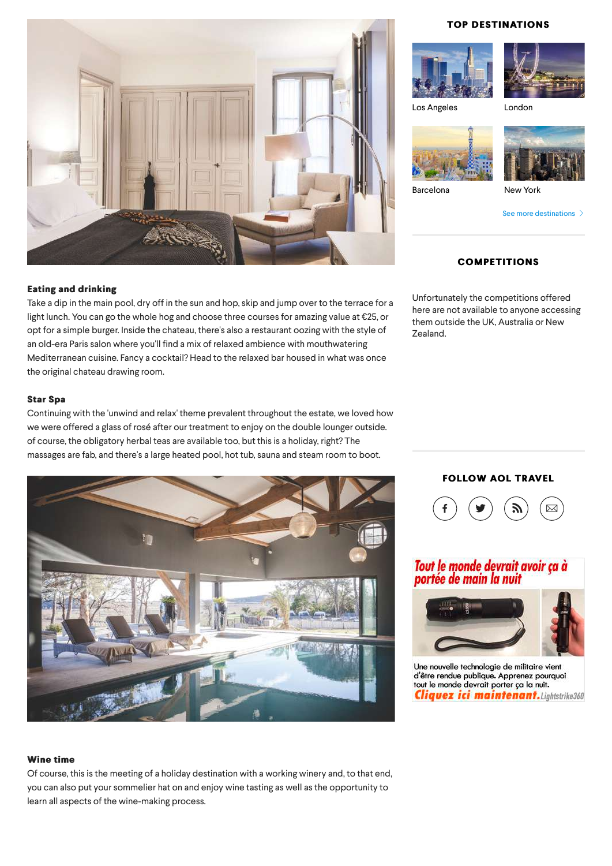

### **Eating and drinking Eating and**

Take a dip in the main pool, dry off in the sun and hop, skip and jump over to the terrace for a light lunch. You can go the whole hog and choose three courses for amazing value at €25, or opt for a simple burger. Inside the chateau, there's also a restaurant oozing with the style of an old-era Paris salon where you'll find a mix of relaxed ambience with mouthwatering Mediterranean cuisine. Fancy a cocktail? Head to the relaxed bar housed in what was once the original chateau drawing room.

### **Star Spa Star Spa**

Continuing with the 'unwind and relax' theme prevalent throughout the estate, we loved how we were offered a glass of rosé after our treatment to enjoy on the double lounger outside. of course, the obligatory herbal teas are available too, but this is a holiday, right? The massages are fab, and there's a large heated pool, hot tub, sauna and steam room to boot.



### **TOP DESTINATIONS**





[Los Angeles](http://travel.aol.co.uk/guides/los-angeles/) [London](http://travel.aol.co.uk/guides/london/)





[Barcelona](http://travel.aol.co.uk/guides/barcelona/) [New York](http://travel.aol.co.uk/guides/new-york/)

[See more destinations](http://travel.aol.co.uk/guides/)  $\gt$ 

### **COMPETITIONS COMPETITIONS**

Unfortunately the competitions offered here are not available to anyone accessing them outside the UK, Australia or New Zealand.

### **FOLLOW AOL TRAVEL**



### Tout le monde devrait avoir ça à portée de main la nuit



Une nouvelle technologie de militaire vient d'être rendue publique. Apprenez pourquoi<br>tout le monde devrait porter ça la nuit. **Cliquez ici maintenant.** Lightstrike360

### **Wine time**

Of course, this is the meeting of a holiday destination with a working winery and, to that end, you can also put your sommelier hat on and enjoy wine tasting as well as the opportunity to learn all aspects of the wine-making process.